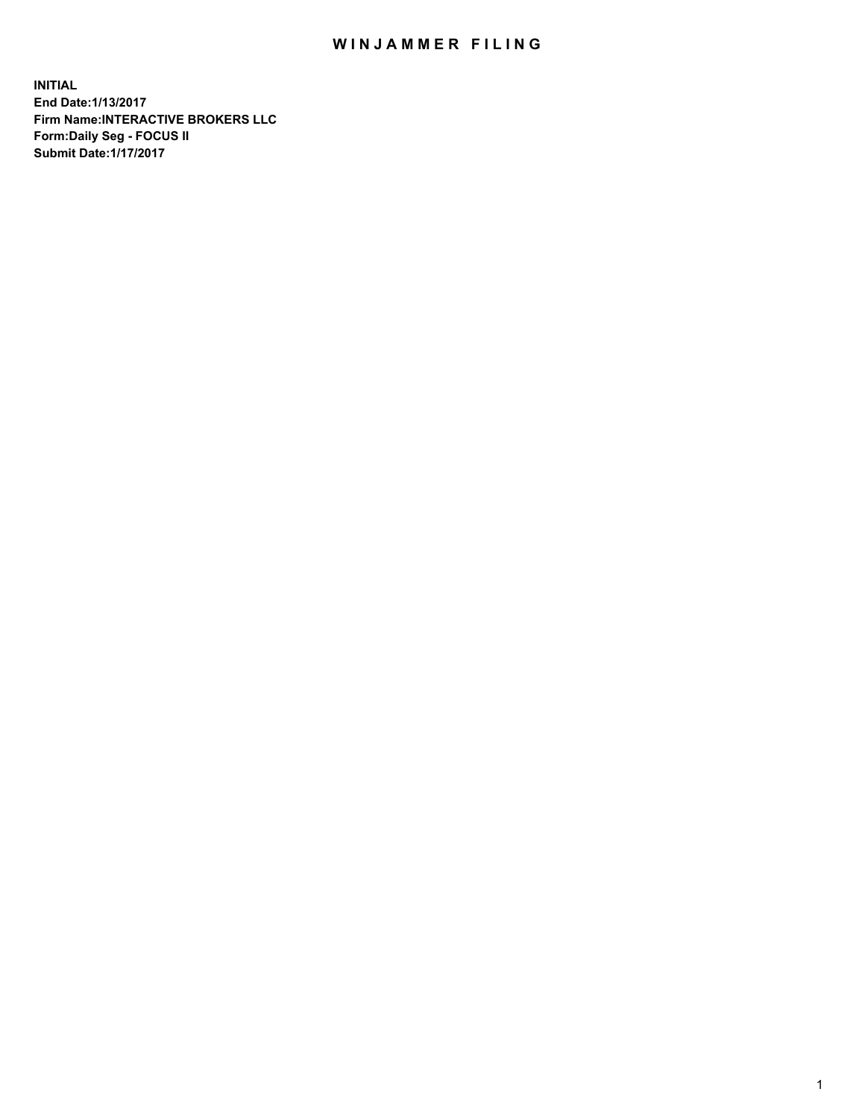## WIN JAMMER FILING

**INITIAL End Date:1/13/2017 Firm Name:INTERACTIVE BROKERS LLC Form:Daily Seg - FOCUS II Submit Date:1/17/2017**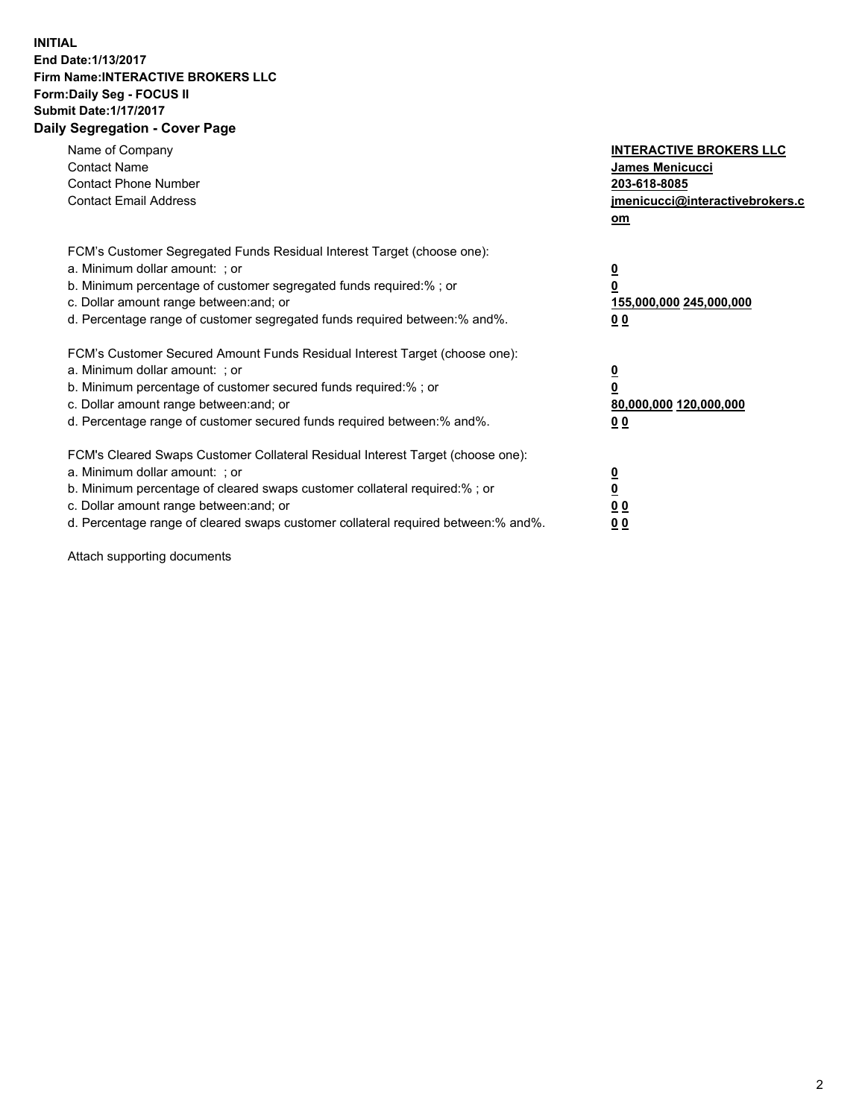## **INITIAL End Date:1/13/2017 Firm Name:INTERACTIVE BROKERS LLC Form:Daily Seg - FOCUS II Submit Date:1/17/2017 Daily Segregation - Cover Page**

| Name of Company<br><b>Contact Name</b><br><b>Contact Phone Number</b><br><b>Contact Email Address</b>                                                                                                                                                                                                                          | <b>INTERACTIVE BROKERS LLC</b><br>James Menicucci<br>203-618-8085<br>jmenicucci@interactivebrokers.c<br>om |
|--------------------------------------------------------------------------------------------------------------------------------------------------------------------------------------------------------------------------------------------------------------------------------------------------------------------------------|------------------------------------------------------------------------------------------------------------|
| FCM's Customer Segregated Funds Residual Interest Target (choose one):<br>a. Minimum dollar amount: ; or<br>b. Minimum percentage of customer segregated funds required:%; or<br>c. Dollar amount range between: and; or<br>d. Percentage range of customer segregated funds required between:% and%.                          | $\overline{\mathbf{0}}$<br>0<br>155,000,000 245,000,000<br>0 <sub>0</sub>                                  |
| FCM's Customer Secured Amount Funds Residual Interest Target (choose one):<br>a. Minimum dollar amount: ; or<br>b. Minimum percentage of customer secured funds required:%; or<br>c. Dollar amount range between: and; or<br>d. Percentage range of customer secured funds required between:% and%.                            | $\overline{\mathbf{0}}$<br>$\overline{\mathbf{0}}$<br>80,000,000 120,000,000<br>00                         |
| FCM's Cleared Swaps Customer Collateral Residual Interest Target (choose one):<br>a. Minimum dollar amount: ; or<br>b. Minimum percentage of cleared swaps customer collateral required:% ; or<br>c. Dollar amount range between: and; or<br>d. Percentage range of cleared swaps customer collateral required between:% and%. | $\overline{\mathbf{0}}$<br>$\overline{\mathbf{0}}$<br>0 <sub>0</sub><br><u>00</u>                          |

Attach supporting documents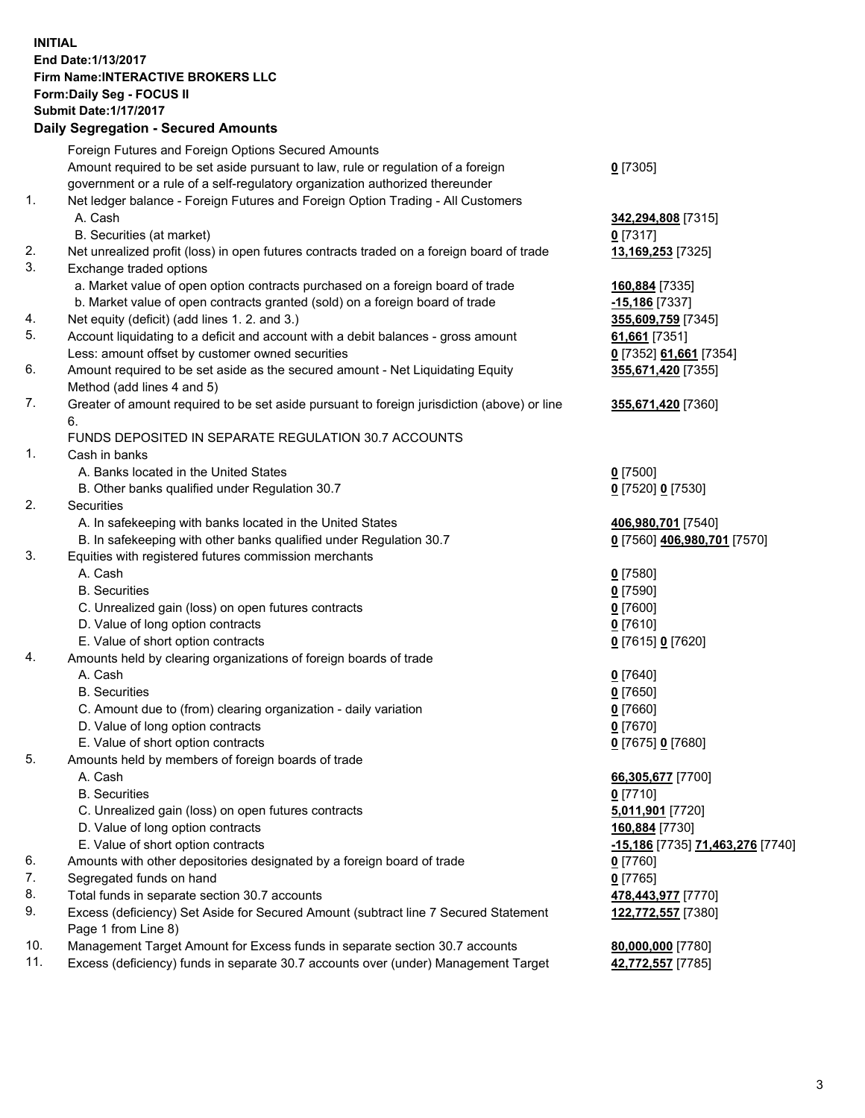## **INITIAL End Date:1/13/2017 Firm Name:INTERACTIVE BROKERS LLC Form:Daily Seg - FOCUS II Submit Date:1/17/2017 Daily Segregation - Secured Amounts**

|     | Daily Segregation - Secured Amounts                                                         |                                  |
|-----|---------------------------------------------------------------------------------------------|----------------------------------|
|     | Foreign Futures and Foreign Options Secured Amounts                                         |                                  |
|     | Amount required to be set aside pursuant to law, rule or regulation of a foreign            | $0$ [7305]                       |
|     | government or a rule of a self-regulatory organization authorized thereunder                |                                  |
| 1.  | Net ledger balance - Foreign Futures and Foreign Option Trading - All Customers             |                                  |
|     | A. Cash                                                                                     | 342,294,808 [7315]               |
|     | B. Securities (at market)                                                                   | $0$ [7317]                       |
| 2.  |                                                                                             |                                  |
| 3.  | Net unrealized profit (loss) in open futures contracts traded on a foreign board of trade   | 13,169,253 [7325]                |
|     | Exchange traded options                                                                     |                                  |
|     | a. Market value of open option contracts purchased on a foreign board of trade              | 160,884 [7335]                   |
|     | b. Market value of open contracts granted (sold) on a foreign board of trade                | -15,186 [7337]                   |
| 4.  | Net equity (deficit) (add lines 1.2. and 3.)                                                | 355,609,759 [7345]               |
| 5.  | Account liquidating to a deficit and account with a debit balances - gross amount           | 61,661 [7351]                    |
|     | Less: amount offset by customer owned securities                                            | 0 [7352] 61,661 [7354]           |
| 6.  | Amount required to be set aside as the secured amount - Net Liquidating Equity              | 355,671,420 [7355]               |
|     | Method (add lines 4 and 5)                                                                  |                                  |
| 7.  | Greater of amount required to be set aside pursuant to foreign jurisdiction (above) or line | 355,671,420 [7360]               |
|     | 6.                                                                                          |                                  |
|     | FUNDS DEPOSITED IN SEPARATE REGULATION 30.7 ACCOUNTS                                        |                                  |
| 1.  | Cash in banks                                                                               |                                  |
|     | A. Banks located in the United States                                                       | $0$ [7500]                       |
|     | B. Other banks qualified under Regulation 30.7                                              | 0 [7520] 0 [7530]                |
| 2.  | Securities                                                                                  |                                  |
|     | A. In safekeeping with banks located in the United States                                   | 406,980,701 [7540]               |
|     | B. In safekeeping with other banks qualified under Regulation 30.7                          | 0 [7560] 406,980,701 [7570]      |
| 3.  | Equities with registered futures commission merchants                                       |                                  |
|     | A. Cash                                                                                     | $0$ [7580]                       |
|     | <b>B.</b> Securities                                                                        | $0$ [7590]                       |
|     | C. Unrealized gain (loss) on open futures contracts                                         | $0$ [7600]                       |
|     | D. Value of long option contracts                                                           | $0$ [7610]                       |
|     | E. Value of short option contracts                                                          | 0 [7615] 0 [7620]                |
| 4.  | Amounts held by clearing organizations of foreign boards of trade                           |                                  |
|     | A. Cash                                                                                     | $0$ [7640]                       |
|     | <b>B.</b> Securities                                                                        | $0$ [7650]                       |
|     |                                                                                             |                                  |
|     | C. Amount due to (from) clearing organization - daily variation                             | $0$ [7660]                       |
|     | D. Value of long option contracts                                                           | $0$ [7670]                       |
|     | E. Value of short option contracts                                                          | 0 [7675] 0 [7680]                |
| 5.  | Amounts held by members of foreign boards of trade                                          |                                  |
|     | A. Cash                                                                                     | 66,305,677 [7700]                |
|     | <b>B.</b> Securities                                                                        | $0$ [7710]                       |
|     | C. Unrealized gain (loss) on open futures contracts                                         | 5,011,901 [7720]                 |
|     | D. Value of long option contracts                                                           | 160,884 [7730]                   |
|     | E. Value of short option contracts                                                          | -15,186 [7735] 71,463,276 [7740] |
| 6.  | Amounts with other depositories designated by a foreign board of trade                      | $0$ [7760]                       |
| 7.  | Segregated funds on hand                                                                    | $0$ [7765]                       |
| 8.  | Total funds in separate section 30.7 accounts                                               | 478,443,977 [7770]               |
| 9.  | Excess (deficiency) Set Aside for Secured Amount (subtract line 7 Secured Statement         | 122,772,557 [7380]               |
|     | Page 1 from Line 8)                                                                         |                                  |
| 10. | Management Target Amount for Excess funds in separate section 30.7 accounts                 | 80,000,000 [7780]                |
| 11. | Excess (deficiency) funds in separate 30.7 accounts over (under) Management Target          | 42,772,557 [7785]                |
|     |                                                                                             |                                  |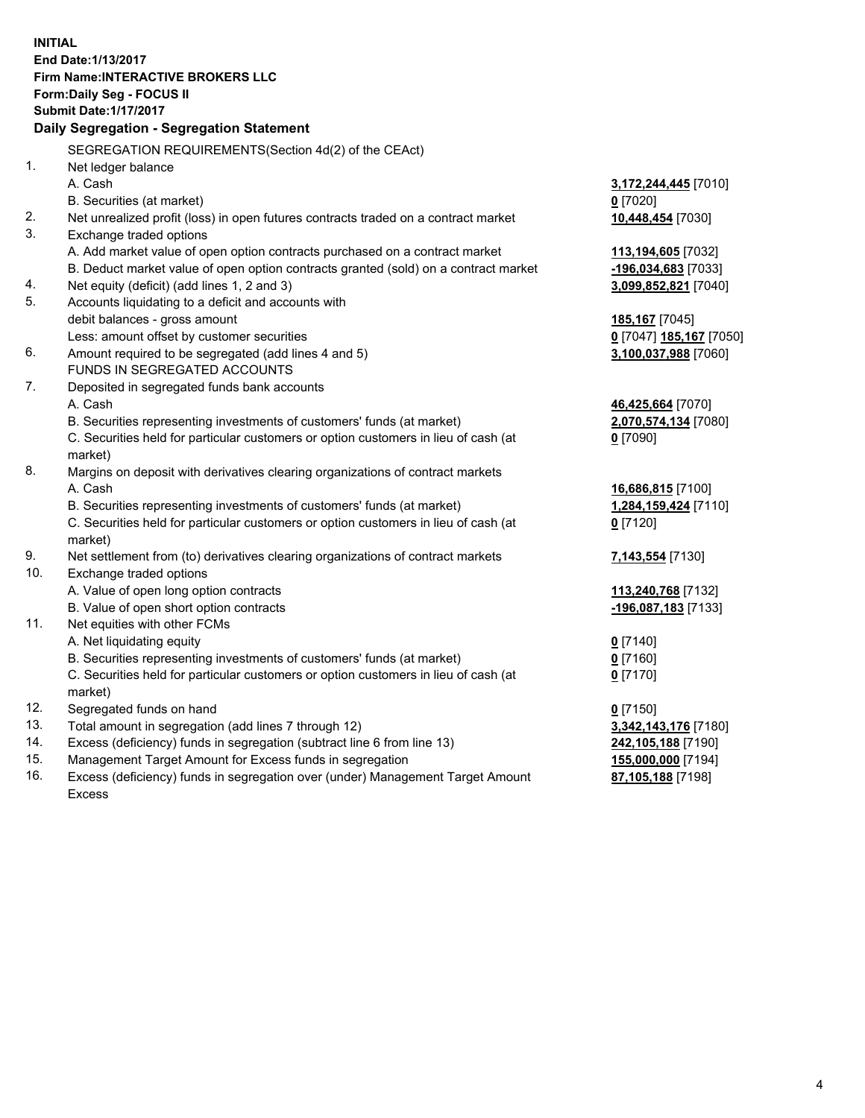**INITIAL End Date:1/13/2017 Firm Name:INTERACTIVE BROKERS LLC Form:Daily Seg - FOCUS II Submit Date:1/17/2017 Daily Segregation - Segregation Statement** SEGREGATION REQUIREMENTS(Section 4d(2) of the CEAct) 1. Net ledger balance A. Cash **3,172,244,445** [7010] B. Securities (at market) **0** [7020] 2. Net unrealized profit (loss) in open futures contracts traded on a contract market **10,448,454** [7030] 3. Exchange traded options A. Add market value of open option contracts purchased on a contract market **113,194,605** [7032] B. Deduct market value of open option contracts granted (sold) on a contract market **-196,034,683** [7033] 4. Net equity (deficit) (add lines 1, 2 and 3) **3,099,852,821** [7040] 5. Accounts liquidating to a deficit and accounts with debit balances - gross amount **185,167** [7045] Less: amount offset by customer securities **0** [7047] **185,167** [7050] 6. Amount required to be segregated (add lines 4 and 5) **3,100,037,988** [7060] FUNDS IN SEGREGATED ACCOUNTS 7. Deposited in segregated funds bank accounts A. Cash **46,425,664** [7070] B. Securities representing investments of customers' funds (at market) **2,070,574,134** [7080] C. Securities held for particular customers or option customers in lieu of cash (at market) **0** [7090] 8. Margins on deposit with derivatives clearing organizations of contract markets A. Cash **16,686,815** [7100] B. Securities representing investments of customers' funds (at market) **1,284,159,424** [7110] C. Securities held for particular customers or option customers in lieu of cash (at market) **0** [7120] 9. Net settlement from (to) derivatives clearing organizations of contract markets **7,143,554** [7130] 10. Exchange traded options A. Value of open long option contracts **113,240,768** [7132] B. Value of open short option contracts **-196,087,183** [7133] 11. Net equities with other FCMs A. Net liquidating equity **0** [7140] B. Securities representing investments of customers' funds (at market) **0** [7160] C. Securities held for particular customers or option customers in lieu of cash (at market) **0** [7170] 12. Segregated funds on hand **0** [7150] 13. Total amount in segregation (add lines 7 through 12) **3,342,143,176** [7180] 14. Excess (deficiency) funds in segregation (subtract line 6 from line 13) **242,105,188** [7190] 15. Management Target Amount for Excess funds in segregation **155,000,000** [7194] **87,105,188** [7198]

16. Excess (deficiency) funds in segregation over (under) Management Target Amount Excess